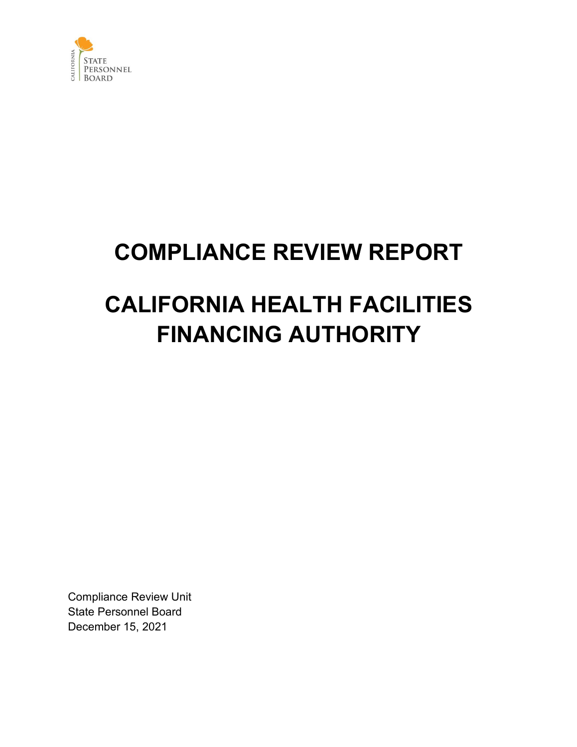

# **COMPLIANCE REVIEW REPORT CALIFORNIA HEALTH FACILITIES FINANCING AUTHORITY**

Compliance Review Unit State Personnel Board December 15, 2021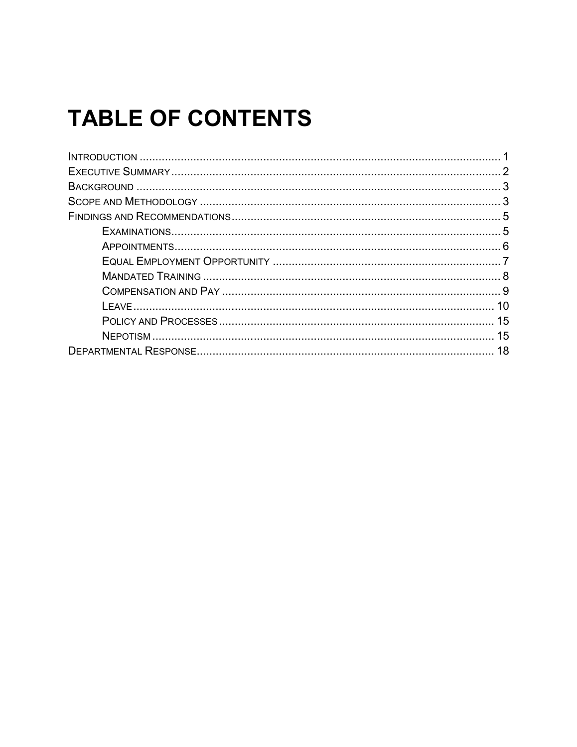# **TABLE OF CONTENTS**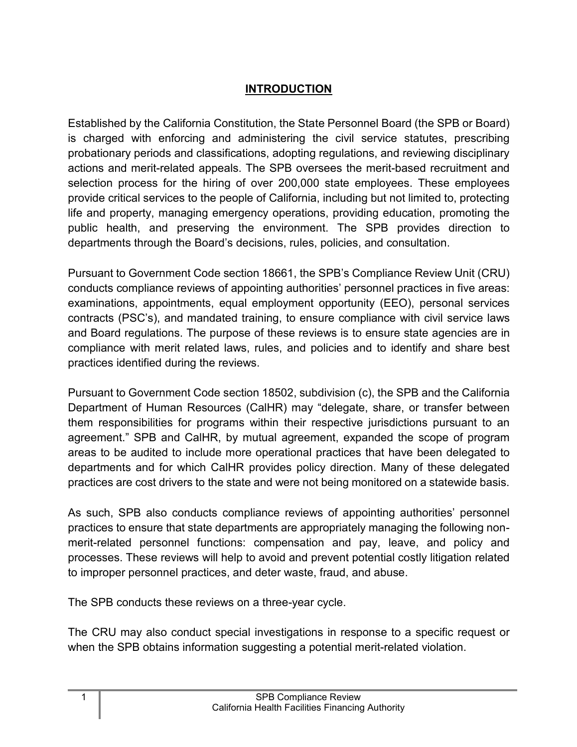### **INTRODUCTION**

<span id="page-2-0"></span>Established by the California Constitution, the State Personnel Board (the SPB or Board) is charged with enforcing and administering the civil service statutes, prescribing probationary periods and classifications, adopting regulations, and reviewing disciplinary actions and merit-related appeals. The SPB oversees the merit-based recruitment and selection process for the hiring of over 200,000 state employees. These employees provide critical services to the people of California, including but not limited to, protecting life and property, managing emergency operations, providing education, promoting the public health, and preserving the environment. The SPB provides direction to departments through the Board's decisions, rules, policies, and consultation.

Pursuant to Government Code section 18661, the SPB's Compliance Review Unit (CRU) conducts compliance reviews of appointing authorities' personnel practices in five areas: examinations, appointments, equal employment opportunity (EEO), personal services contracts (PSC's), and mandated training, to ensure compliance with civil service laws and Board regulations. The purpose of these reviews is to ensure state agencies are in compliance with merit related laws, rules, and policies and to identify and share best practices identified during the reviews.

Pursuant to Government Code section 18502, subdivision (c), the SPB and the California Department of Human Resources (CalHR) may "delegate, share, or transfer between them responsibilities for programs within their respective jurisdictions pursuant to an agreement." SPB and CalHR, by mutual agreement, expanded the scope of program areas to be audited to include more operational practices that have been delegated to departments and for which CalHR provides policy direction. Many of these delegated practices are cost drivers to the state and were not being monitored on a statewide basis.

As such, SPB also conducts compliance reviews of appointing authorities' personnel practices to ensure that state departments are appropriately managing the following nonmerit-related personnel functions: compensation and pay, leave, and policy and processes. These reviews will help to avoid and prevent potential costly litigation related to improper personnel practices, and deter waste, fraud, and abuse.

The SPB conducts these reviews on a three-year cycle.

The CRU may also conduct special investigations in response to a specific request or when the SPB obtains information suggesting a potential merit-related violation.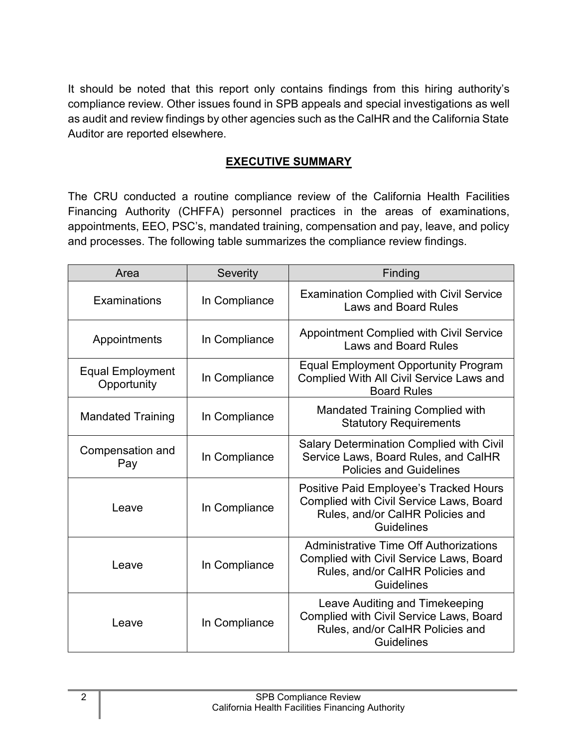It should be noted that this report only contains findings from this hiring authority's compliance review. Other issues found in SPB appeals and special investigations as well as audit and review findings by other agencies such as the CalHR and the California State Auditor are reported elsewhere.

### **EXECUTIVE SUMMARY**

<span id="page-3-0"></span>The CRU conducted a routine compliance review of the California Health Facilities Financing Authority (CHFFA) personnel practices in the areas of examinations, appointments, EEO, PSC's, mandated training, compensation and pay, leave, and policy and processes. The following table summarizes the compliance review findings.

| Area                                     | <b>Severity</b> | Finding                                                                                                                                           |
|------------------------------------------|-----------------|---------------------------------------------------------------------------------------------------------------------------------------------------|
| Examinations                             | In Compliance   | <b>Examination Complied with Civil Service</b><br><b>Laws and Board Rules</b>                                                                     |
| Appointments                             | In Compliance   | <b>Appointment Complied with Civil Service</b><br><b>Laws and Board Rules</b>                                                                     |
| <b>Equal Employment</b><br>Opportunity   | In Compliance   | <b>Equal Employment Opportunity Program</b><br>Complied With All Civil Service Laws and<br><b>Board Rules</b>                                     |
| <b>Mandated Training</b>                 | In Compliance   | <b>Mandated Training Complied with</b><br><b>Statutory Requirements</b>                                                                           |
| Compensation and<br>In Compliance<br>Pay |                 | <b>Salary Determination Complied with Civil</b><br>Service Laws, Board Rules, and CalHR<br><b>Policies and Guidelines</b>                         |
| Leave                                    | In Compliance   | Positive Paid Employee's Tracked Hours<br>Complied with Civil Service Laws, Board<br>Rules, and/or CalHR Policies and<br>Guidelines               |
| In Compliance<br>Leave                   |                 | <b>Administrative Time Off Authorizations</b><br><b>Complied with Civil Service Laws, Board</b><br>Rules, and/or CalHR Policies and<br>Guidelines |
| In Compliance<br>Leave                   |                 | Leave Auditing and Timekeeping<br>Complied with Civil Service Laws, Board<br>Rules, and/or CalHR Policies and<br>Guidelines                       |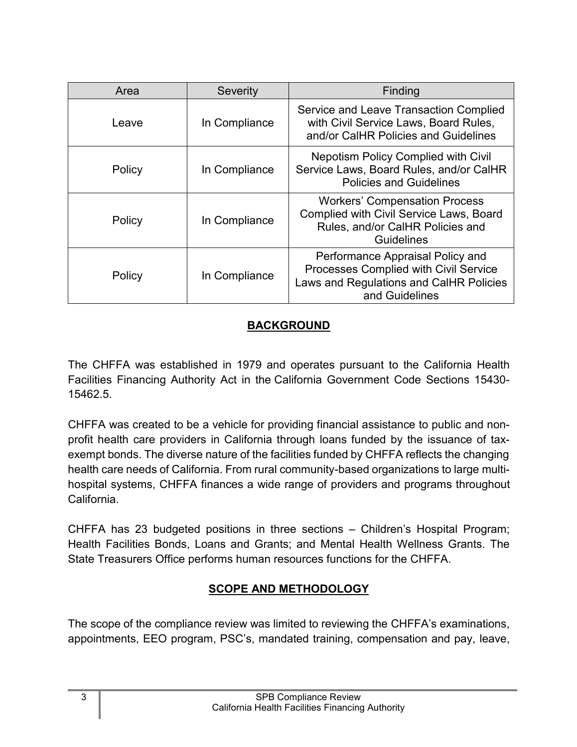| Area   | Severity      | Finding                                                                                                                                         |
|--------|---------------|-------------------------------------------------------------------------------------------------------------------------------------------------|
| Leave  | In Compliance | Service and Leave Transaction Complied<br>with Civil Service Laws, Board Rules,<br>and/or CalHR Policies and Guidelines                         |
| Policy | In Compliance | <b>Nepotism Policy Complied with Civil</b><br>Service Laws, Board Rules, and/or CalHR<br><b>Policies and Guidelines</b>                         |
| Policy | In Compliance | <b>Workers' Compensation Process</b><br><b>Complied with Civil Service Laws, Board</b><br>Rules, and/or CalHR Policies and<br><b>Guidelines</b> |
| Policy | In Compliance | Performance Appraisal Policy and<br>Processes Complied with Civil Service<br>Laws and Regulations and CalHR Policies<br>and Guidelines          |

# **BACKGROUND**

<span id="page-4-0"></span>The CHFFA was established in 1979 and operates pursuant to the California Health Facilities Financing Authority Act in the California Government Code Sections 15430- 15462.5.

CHFFA was created to be a vehicle for providing financial assistance to public and nonprofit health care providers in California through loans funded by the issuance of taxexempt bonds. The diverse nature of the facilities funded by CHFFA reflects the changing health care needs of California. From rural community-based organizations to large multihospital systems, CHFFA finances a wide range of providers and programs throughout California.

CHFFA has 23 budgeted positions in three sections – Children's Hospital Program; Health Facilities Bonds, Loans and Grants; and Mental Health Wellness Grants. The State Treasurers Office performs human resources functions for the CHFFA.

# **SCOPE AND METHODOLOGY**

<span id="page-4-1"></span>The scope of the compliance review was limited to reviewing the CHFFA's examinations, appointments, EEO program, PSC's, mandated training, compensation and pay, leave,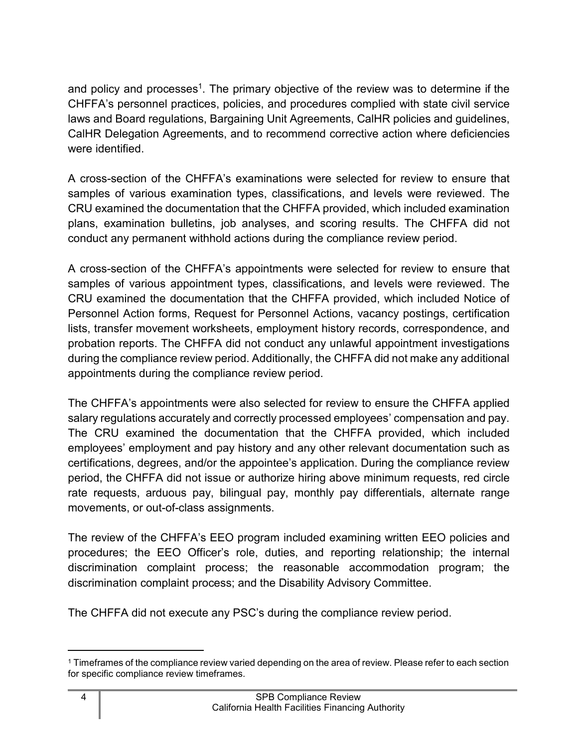and policy and processes<sup>[1](#page-5-0)</sup>. The primary objective of the review was to determine if the CHFFA's personnel practices, policies, and procedures complied with state civil service laws and Board regulations, Bargaining Unit Agreements, CalHR policies and guidelines, CalHR Delegation Agreements, and to recommend corrective action where deficiencies were identified.

A cross-section of the CHFFA's examinations were selected for review to ensure that samples of various examination types, classifications, and levels were reviewed. The CRU examined the documentation that the CHFFA provided, which included examination plans, examination bulletins, job analyses, and scoring results. The CHFFA did not conduct any permanent withhold actions during the compliance review period.

A cross-section of the CHFFA's appointments were selected for review to ensure that samples of various appointment types, classifications, and levels were reviewed. The CRU examined the documentation that the CHFFA provided, which included Notice of Personnel Action forms, Request for Personnel Actions, vacancy postings, certification lists, transfer movement worksheets, employment history records, correspondence, and probation reports. The CHFFA did not conduct any unlawful appointment investigations during the compliance review period. Additionally, the CHFFA did not make any additional appointments during the compliance review period.

The CHFFA's appointments were also selected for review to ensure the CHFFA applied salary regulations accurately and correctly processed employees' compensation and pay. The CRU examined the documentation that the CHFFA provided, which included employees' employment and pay history and any other relevant documentation such as certifications, degrees, and/or the appointee's application. During the compliance review period, the CHFFA did not issue or authorize hiring above minimum requests, red circle rate requests, arduous pay, bilingual pay, monthly pay differentials, alternate range movements, or out-of-class assignments.

The review of the CHFFA's EEO program included examining written EEO policies and procedures; the EEO Officer's role, duties, and reporting relationship; the internal discrimination complaint process; the reasonable accommodation program; the discrimination complaint process; and the Disability Advisory Committee.

The CHFFA did not execute any PSC's during the compliance review period.

<span id="page-5-0"></span><sup>1</sup> Timeframes of the compliance review varied depending on the area of review. Please refer to each section for specific compliance review timeframes.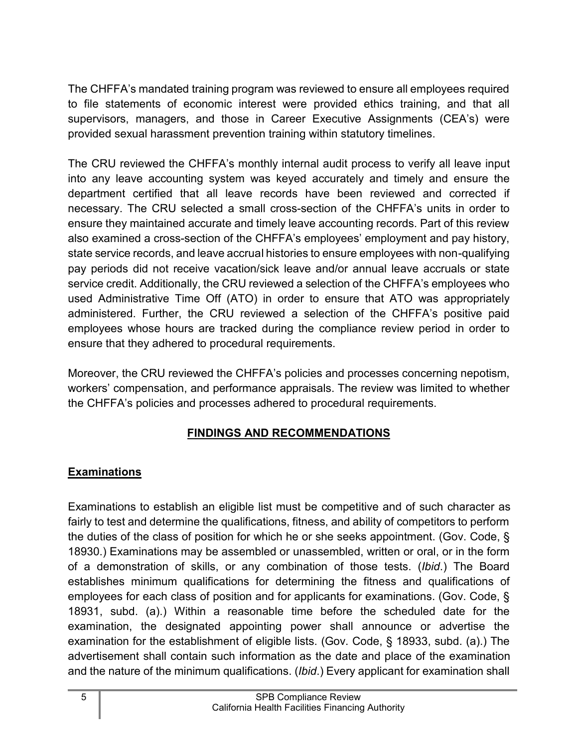The CHFFA's mandated training program was reviewed to ensure all employees required to file statements of economic interest were provided ethics training, and that all supervisors, managers, and those in Career Executive Assignments (CEA's) were provided sexual harassment prevention training within statutory timelines.

The CRU reviewed the CHFFA's monthly internal audit process to verify all leave input into any leave accounting system was keyed accurately and timely and ensure the department certified that all leave records have been reviewed and corrected if necessary. The CRU selected a small cross-section of the CHFFA's units in order to ensure they maintained accurate and timely leave accounting records. Part of this review also examined a cross-section of the CHFFA's employees' employment and pay history, state service records, and leave accrual histories to ensure employees with non-qualifying pay periods did not receive vacation/sick leave and/or annual leave accruals or state service credit. Additionally, the CRU reviewed a selection of the CHFFA's employees who used Administrative Time Off (ATO) in order to ensure that ATO was appropriately administered. Further, the CRU reviewed a selection of the CHFFA's positive paid employees whose hours are tracked during the compliance review period in order to ensure that they adhered to procedural requirements.

Moreover, the CRU reviewed the CHFFA's policies and processes concerning nepotism, workers' compensation, and performance appraisals. The review was limited to whether the CHFFA's policies and processes adhered to procedural requirements.

# **FINDINGS AND RECOMMENDATIONS**

#### <span id="page-6-1"></span><span id="page-6-0"></span>**Examinations**

Examinations to establish an eligible list must be competitive and of such character as fairly to test and determine the qualifications, fitness, and ability of competitors to perform the duties of the class of position for which he or she seeks appointment. (Gov. Code, § 18930.) Examinations may be assembled or unassembled, written or oral, or in the form of a demonstration of skills, or any combination of those tests. (*Ibid*.) The Board establishes minimum qualifications for determining the fitness and qualifications of employees for each class of position and for applicants for examinations. (Gov. Code, § 18931, subd. (a).) Within a reasonable time before the scheduled date for the examination, the designated appointing power shall announce or advertise the examination for the establishment of eligible lists. (Gov. Code, § 18933, subd. (a).) The advertisement shall contain such information as the date and place of the examination and the nature of the minimum qualifications. (*Ibid*.) Every applicant for examination shall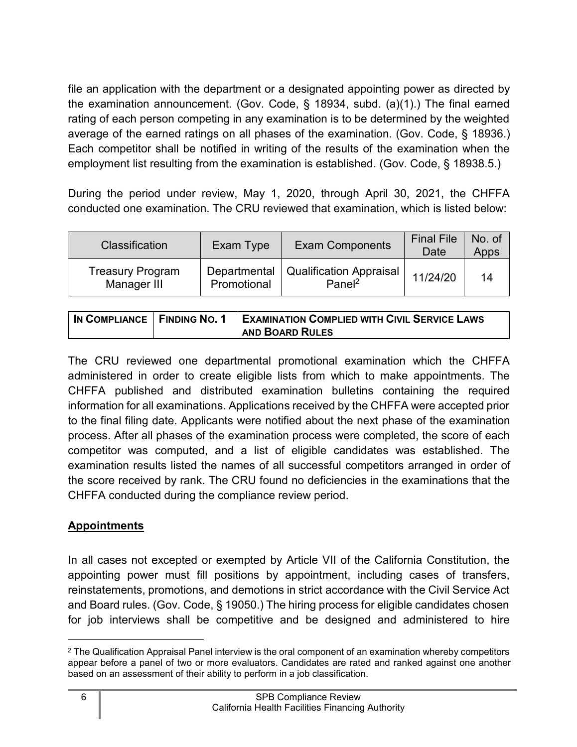file an application with the department or a designated appointing power as directed by the examination announcement. (Gov. Code, § 18934, subd. (a)(1).) The final earned rating of each person competing in any examination is to be determined by the weighted average of the earned ratings on all phases of the examination. (Gov. Code, § 18936.) Each competitor shall be notified in writing of the results of the examination when the employment list resulting from the examination is established. (Gov. Code, § 18938.5.)

During the period under review, May 1, 2020, through April 30, 2021, the CHFFA conducted one examination. The CRU reviewed that examination, which is listed below:

| <b>Classification</b>                  | Exam Type   | <b>Exam Components</b>                                      | <b>Final File</b><br>Date | No. of<br>Apps |
|----------------------------------------|-------------|-------------------------------------------------------------|---------------------------|----------------|
| <b>Treasury Program</b><br>Manager III | Promotional | Departmental   Qualification Appraisal<br>Pane <sup>2</sup> | 11/24/20                  | 14             |

| IN COMPLIANCE   FINDING NO. 1 | <b>EXAMINATION COMPLIED WITH CIVIL SERVICE LAWS</b> |
|-------------------------------|-----------------------------------------------------|
|                               | <b>AND BOARD RULES</b>                              |

The CRU reviewed one departmental promotional examination which the CHFFA administered in order to create eligible lists from which to make appointments. The CHFFA published and distributed examination bulletins containing the required information for all examinations. Applications received by the CHFFA were accepted prior to the final filing date. Applicants were notified about the next phase of the examination process. After all phases of the examination process were completed, the score of each competitor was computed, and a list of eligible candidates was established. The examination results listed the names of all successful competitors arranged in order of the score received by rank. The CRU found no deficiencies in the examinations that the CHFFA conducted during the compliance review period.

# <span id="page-7-0"></span>**Appointments**

In all cases not excepted or exempted by Article VII of the California Constitution, the appointing power must fill positions by appointment, including cases of transfers, reinstatements, promotions, and demotions in strict accordance with the Civil Service Act and Board rules. (Gov. Code, § 19050.) The hiring process for eligible candidates chosen for job interviews shall be competitive and be designed and administered to hire

<span id="page-7-1"></span> $2$  The Qualification Appraisal Panel interview is the oral component of an examination whereby competitors appear before a panel of two or more evaluators. Candidates are rated and ranked against one another based on an assessment of their ability to perform in a job classification.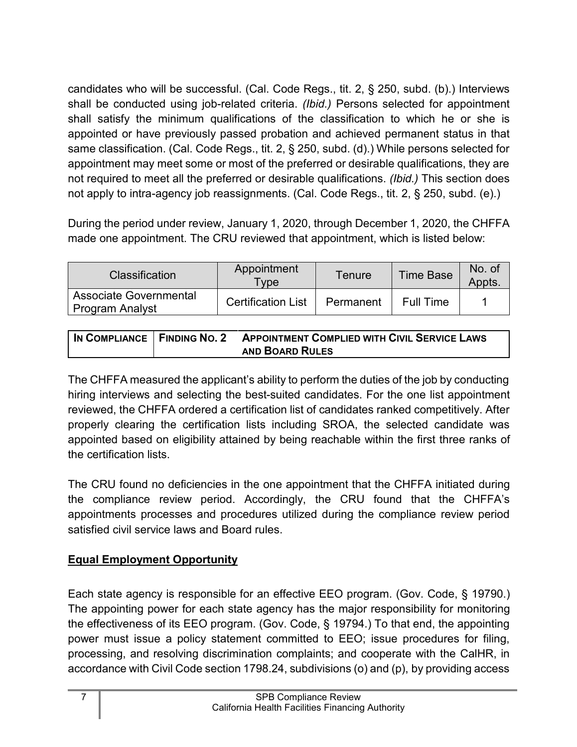candidates who will be successful. (Cal. Code Regs., tit. 2, § 250, subd. (b).) Interviews shall be conducted using job-related criteria. *(Ibid.)* Persons selected for appointment shall satisfy the minimum qualifications of the classification to which he or she is appointed or have previously passed probation and achieved permanent status in that same classification. (Cal. Code Regs., tit. 2, § 250, subd. (d).) While persons selected for appointment may meet some or most of the preferred or desirable qualifications, they are not required to meet all the preferred or desirable qualifications. *(Ibid.)* This section does not apply to intra-agency job reassignments. (Cal. Code Regs., tit. 2, § 250, subd. (e).)

During the period under review, January 1, 2020, through December 1, 2020, the CHFFA made one appointment. The CRU reviewed that appointment, which is listed below:

| <b>Classification</b>                            | Appointment<br>Type       | Tenureː   | <b>Time Base</b> | No. of<br>Appts. |
|--------------------------------------------------|---------------------------|-----------|------------------|------------------|
| Associate Governmental<br><b>Program Analyst</b> | <b>Certification List</b> | Permanent | <b>Full Time</b> |                  |

|  | IN COMPLIANCE   FINDING NO. 2  APPOINTMENT COMPLIED WITH CIVIL SERVICE LAWS |
|--|-----------------------------------------------------------------------------|
|  | <b>AND BOARD RULES</b>                                                      |

The CHFFA measured the applicant's ability to perform the duties of the job by conducting hiring interviews and selecting the best-suited candidates. For the one list appointment reviewed, the CHFFA ordered a certification list of candidates ranked competitively. After properly clearing the certification lists including SROA, the selected candidate was appointed based on eligibility attained by being reachable within the first three ranks of the certification lists.

The CRU found no deficiencies in the one appointment that the CHFFA initiated during the compliance review period. Accordingly, the CRU found that the CHFFA's appointments processes and procedures utilized during the compliance review period satisfied civil service laws and Board rules.

# <span id="page-8-0"></span>**Equal Employment Opportunity**

Each state agency is responsible for an effective EEO program. (Gov. Code, § 19790.) The appointing power for each state agency has the major responsibility for monitoring the effectiveness of its EEO program. (Gov. Code, § 19794.) To that end, the appointing power must issue a policy statement committed to EEO; issue procedures for filing, processing, and resolving discrimination complaints; and cooperate with the CalHR, in accordance with Civil Code section 1798.24, subdivisions (o) and (p), by providing access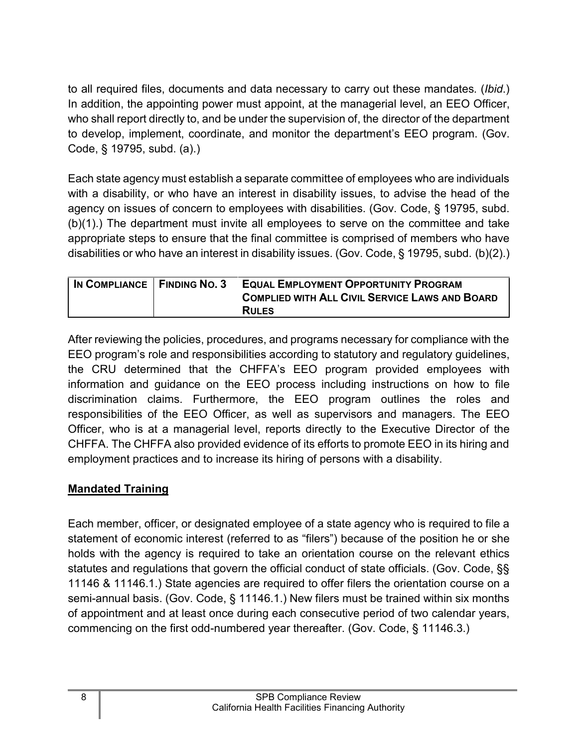to all required files, documents and data necessary to carry out these mandates. (*Ibid*.) In addition, the appointing power must appoint, at the managerial level, an EEO Officer, who shall report directly to, and be under the supervision of, the director of the department to develop, implement, coordinate, and monitor the department's EEO program. (Gov. Code, § 19795, subd. (a).)

Each state agency must establish a separate committee of employees who are individuals with a disability, or who have an interest in disability issues, to advise the head of the agency on issues of concern to employees with disabilities. (Gov. Code, § 19795, subd. (b)(1).) The department must invite all employees to serve on the committee and take appropriate steps to ensure that the final committee is comprised of members who have disabilities or who have an interest in disability issues. (Gov. Code, § 19795, subd. (b)(2).)

| IN COMPLIANCE   FINDING NO. 3 | <b>EQUAL EMPLOYMENT OPPORTUNITY PROGRAM</b>           |
|-------------------------------|-------------------------------------------------------|
|                               | <b>COMPLIED WITH ALL CIVIL SERVICE LAWS AND BOARD</b> |
|                               | <b>RULES</b>                                          |

After reviewing the policies, procedures, and programs necessary for compliance with the EEO program's role and responsibilities according to statutory and regulatory guidelines, the CRU determined that the CHFFA's EEO program provided employees with information and guidance on the EEO process including instructions on how to file discrimination claims. Furthermore, the EEO program outlines the roles and responsibilities of the EEO Officer, as well as supervisors and managers. The EEO Officer, who is at a managerial level, reports directly to the Executive Director of the CHFFA. The CHFFA also provided evidence of its efforts to promote EEO in its hiring and employment practices and to increase its hiring of persons with a disability.

# <span id="page-9-0"></span>**Mandated Training**

Each member, officer, or designated employee of a state agency who is required to file a statement of economic interest (referred to as "filers") because of the position he or she holds with the agency is required to take an orientation course on the relevant ethics statutes and regulations that govern the official conduct of state officials. (Gov. Code, §§ 11146 & 11146.1.) State agencies are required to offer filers the orientation course on a semi-annual basis. (Gov. Code, § 11146.1.) New filers must be trained within six months of appointment and at least once during each consecutive period of two calendar years, commencing on the first odd-numbered year thereafter. (Gov. Code, § 11146.3.)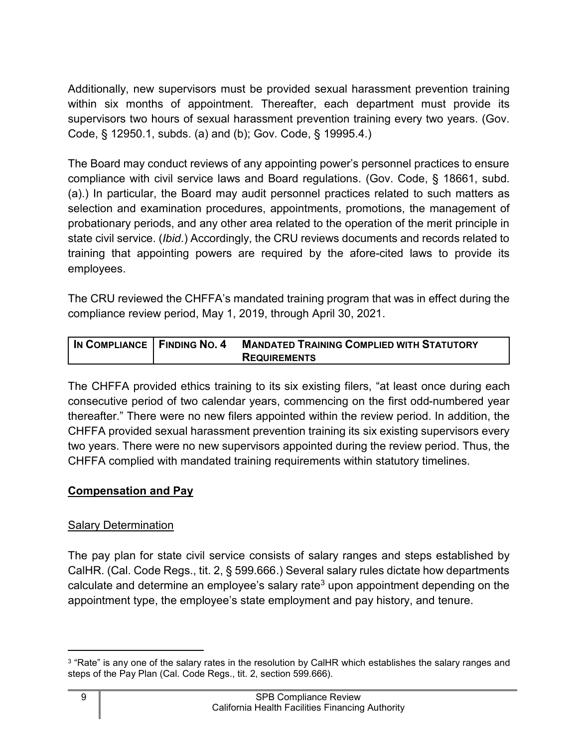Additionally, new supervisors must be provided sexual harassment prevention training within six months of appointment. Thereafter, each department must provide its supervisors two hours of sexual harassment prevention training every two years. (Gov. Code, § 12950.1, subds. (a) and (b); Gov. Code, § 19995.4.)

The Board may conduct reviews of any appointing power's personnel practices to ensure compliance with civil service laws and Board regulations. (Gov. Code, § 18661, subd. (a).) In particular, the Board may audit personnel practices related to such matters as selection and examination procedures, appointments, promotions, the management of probationary periods, and any other area related to the operation of the merit principle in state civil service. (*Ibid*.) Accordingly, the CRU reviews documents and records related to training that appointing powers are required by the afore-cited laws to provide its employees.

The CRU reviewed the CHFFA's mandated training program that was in effect during the compliance review period, May 1, 2019, through April 30, 2021.

| IN COMPLIANCE   FINDING NO. 4 | <b>MANDATED TRAINING COMPLIED WITH STATUTORY</b> |
|-------------------------------|--------------------------------------------------|
|                               | <b>REQUIREMENTS</b>                              |

The CHFFA provided ethics training to its six existing filers, "at least once during each consecutive period of two calendar years, commencing on the first odd-numbered year thereafter." There were no new filers appointed within the review period. In addition, the CHFFA provided sexual harassment prevention training its six existing supervisors every two years. There were no new supervisors appointed during the review period. Thus, the CHFFA complied with mandated training requirements within statutory timelines.

#### <span id="page-10-0"></span>**Compensation and Pay**

#### Salary Determination

The pay plan for state civil service consists of salary ranges and steps established by CalHR. (Cal. Code Regs., tit. 2, § 599.666.) Several salary rules dictate how departments calculate and determine an employee's salary rate<sup>[3](#page-10-1)</sup> upon appointment depending on the appointment type, the employee's state employment and pay history, and tenure.

<span id="page-10-1"></span> $^3$  "Rate" is any one of the salary rates in the resolution by CalHR which establishes the salary ranges and steps of the Pay Plan (Cal. Code Regs., tit. 2, section 599.666).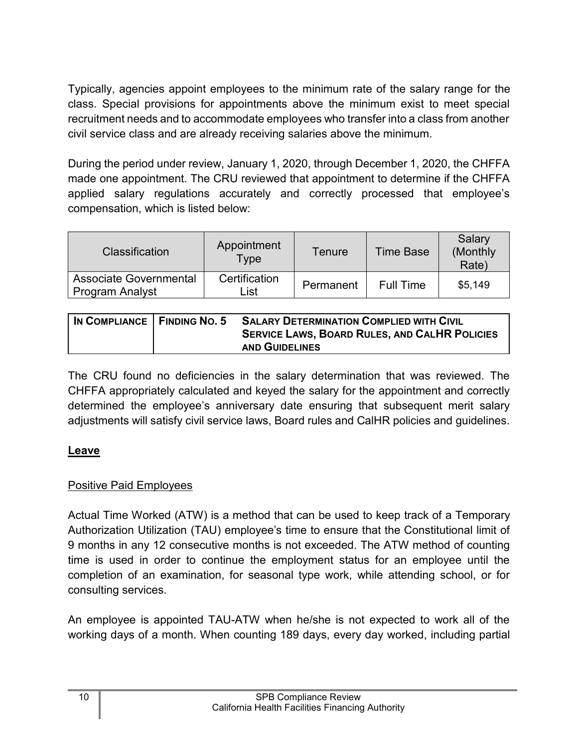Typically, agencies appoint employees to the minimum rate of the salary range for the class. Special provisions for appointments above the minimum exist to meet special recruitment needs and to accommodate employees who transfer into a class from another civil service class and are already receiving salaries above the minimum.

During the period under review, January 1, 2020, through December 1, 2020, the CHFFA made one appointment. The CRU reviewed that appointment to determine if the CHFFA applied salary regulations accurately and correctly processed that employee's compensation, which is listed below:

| <b>Classification</b>                                   | Appointment<br>Type   | <b>Tenure</b> | <b>Time Base</b> | Salary<br>(Monthly)<br>Rate) |
|---------------------------------------------------------|-----------------------|---------------|------------------|------------------------------|
| <b>Associate Governmental</b><br><b>Program Analyst</b> | Certification<br>_ist | Permanent     | <b>Full Time</b> | \$5,149                      |

| IN COMPLIANCE   FINDING NO. 5 | <b>SALARY DETERMINATION COMPLIED WITH CIVIL</b>      |
|-------------------------------|------------------------------------------------------|
|                               | <b>SERVICE LAWS, BOARD RULES, AND CALHR POLICIES</b> |
|                               | <b>AND GUIDELINES</b>                                |

The CRU found no deficiencies in the salary determination that was reviewed. The CHFFA appropriately calculated and keyed the salary for the appointment and correctly determined the employee's anniversary date ensuring that subsequent merit salary adjustments will satisfy civil service laws, Board rules and CalHR policies and guidelines.

# <span id="page-11-0"></span>**Leave**

# Positive Paid Employees

Actual Time Worked (ATW) is a method that can be used to keep track of a Temporary Authorization Utilization (TAU) employee's time to ensure that the Constitutional limit of 9 months in any 12 consecutive months is not exceeded. The ATW method of counting time is used in order to continue the employment status for an employee until the completion of an examination, for seasonal type work, while attending school, or for consulting services.

An employee is appointed TAU-ATW when he/she is not expected to work all of the working days of a month. When counting 189 days, every day worked, including partial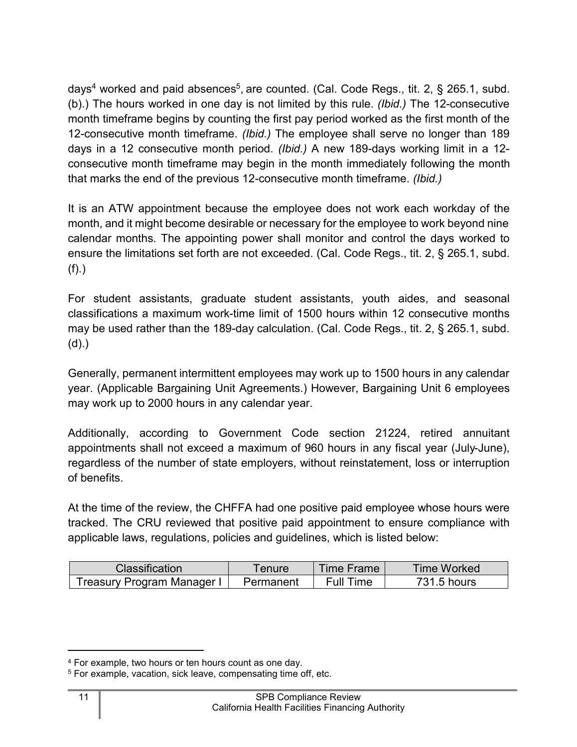days<sup>[4](#page-12-0)</sup> worked and paid absences<sup>[5](#page-12-1)</sup>, are counted. (Cal. Code Regs., tit. 2, § 265.1, subd. (b).) The hours worked in one day is not limited by this rule. *(Ibid.)* The 12-consecutive month timeframe begins by counting the first pay period worked as the first month of the 12-consecutive month timeframe. *(Ibid.)* The employee shall serve no longer than 189 days in a 12 consecutive month period. *(Ibid.)* A new 189-days working limit in a 12 consecutive month timeframe may begin in the month immediately following the month that marks the end of the previous 12-consecutive month timeframe. *(Ibid.)*

It is an ATW appointment because the employee does not work each workday of the month, and it might become desirable or necessary for the employee to work beyond nine calendar months. The appointing power shall monitor and control the days worked to ensure the limitations set forth are not exceeded. (Cal. Code Regs., tit. 2, § 265.1, subd. (f).)

For student assistants, graduate student assistants, youth aides, and seasonal classifications a maximum work-time limit of 1500 hours within 12 consecutive months may be used rather than the 189-day calculation. (Cal. Code Regs., tit. 2, § 265.1, subd. (d).)

Generally, permanent intermittent employees may work up to 1500 hours in any calendar year. (Applicable Bargaining Unit Agreements.) However, Bargaining Unit 6 employees may work up to 2000 hours in any calendar year.

Additionally, according to Government Code section 21224, retired annuitant appointments shall not exceed a maximum of 960 hours in any fiscal year (July-June), regardless of the number of state employers, without reinstatement, loss or interruption of benefits.

At the time of the review, the CHFFA had one positive paid employee whose hours were tracked. The CRU reviewed that positive paid appointment to ensure compliance with applicable laws, regulations, policies and guidelines, which is listed below:

| Classification             | l enure   | Ume Frame        | Time Worked |
|----------------------------|-----------|------------------|-------------|
| Treasury Program Manager ı | Permanent | <b>Full Time</b> | 731.5 hours |

<span id="page-12-0"></span><sup>4</sup> For example, two hours or ten hours count as one day.

<span id="page-12-1"></span><sup>5</sup> For example, vacation, sick leave, compensating time off, etc.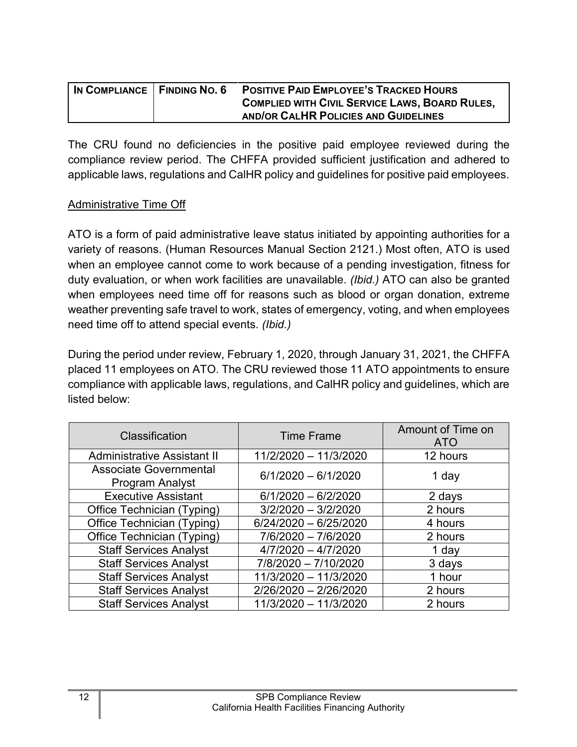| $^\prime$ In Compliance $\, \vert$ Finding No. 6 | <b>POSITIVE PAID EMPLOYEE'S TRACKED HOURS</b>         |
|--------------------------------------------------|-------------------------------------------------------|
|                                                  | <b>COMPLIED WITH CIVIL SERVICE LAWS, BOARD RULES,</b> |
|                                                  |                                                       |
|                                                  | AND/OR CALHR POLICIES AND GUIDELINES                  |

The CRU found no deficiencies in the positive paid employee reviewed during the compliance review period. The CHFFA provided sufficient justification and adhered to applicable laws, regulations and CalHR policy and guidelines for positive paid employees.

#### Administrative Time Off

ATO is a form of paid administrative leave status initiated by appointing authorities for a variety of reasons. (Human Resources Manual Section 2121.) Most often, ATO is used when an employee cannot come to work because of a pending investigation, fitness for duty evaluation, or when work facilities are unavailable. *(Ibid.)* ATO can also be granted when employees need time off for reasons such as blood or organ donation, extreme weather preventing safe travel to work, states of emergency, voting, and when employees need time off to attend special events. *(Ibid.)*

During the period under review, February 1, 2020, through January 31, 2021, the CHFFA placed 11 employees on ATO. The CRU reviewed those 11 ATO appointments to ensure compliance with applicable laws, regulations, and CalHR policy and guidelines, which are listed below:

| Classification                            | <b>Time Frame</b>       | Amount of Time on<br><b>ATO</b> |
|-------------------------------------------|-------------------------|---------------------------------|
| <b>Administrative Assistant II</b>        | 11/2/2020 - 11/3/2020   | 12 hours                        |
| Associate Governmental<br>Program Analyst | $6/1/2020 - 6/1/2020$   | 1 day                           |
| <b>Executive Assistant</b>                | $6/1/2020 - 6/2/2020$   | 2 days                          |
| Office Technician (Typing)                | $3/2/2020 - 3/2/2020$   | 2 hours                         |
| Office Technician (Typing)                | $6/24/2020 - 6/25/2020$ | 4 hours                         |
| Office Technician (Typing)                | 7/6/2020 - 7/6/2020     | 2 hours                         |
| <b>Staff Services Analyst</b>             | $4/7/2020 - 4/7/2020$   | 1 day                           |
| <b>Staff Services Analyst</b>             | 7/8/2020 - 7/10/2020    | 3 days                          |
| <b>Staff Services Analyst</b>             | 11/3/2020 - 11/3/2020   | 1 hour                          |
| <b>Staff Services Analyst</b>             | 2/26/2020 - 2/26/2020   | 2 hours                         |
| <b>Staff Services Analyst</b>             | 11/3/2020 - 11/3/2020   | 2 hours                         |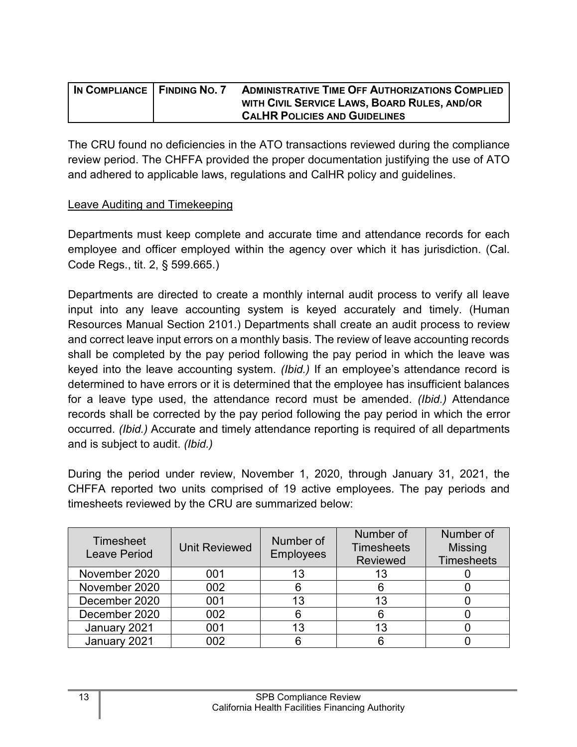| IN COMPLIANCE   FINDING NO. 7 | <b>ADMINISTRATIVE TIME OFF AUTHORIZATIONS COMPLIED</b> |
|-------------------------------|--------------------------------------------------------|
|                               | WITH CIVIL SERVICE LAWS, BOARD RULES, AND/OR           |
|                               | <b>CALHR POLICIES AND GUIDELINES</b>                   |

The CRU found no deficiencies in the ATO transactions reviewed during the compliance review period. The CHFFA provided the proper documentation justifying the use of ATO and adhered to applicable laws, regulations and CalHR policy and guidelines.

#### Leave Auditing and Timekeeping

Departments must keep complete and accurate time and attendance records for each employee and officer employed within the agency over which it has jurisdiction. (Cal. Code Regs., tit. 2, § 599.665.)

Departments are directed to create a monthly internal audit process to verify all leave input into any leave accounting system is keyed accurately and timely. (Human Resources Manual Section 2101.) Departments shall create an audit process to review and correct leave input errors on a monthly basis. The review of leave accounting records shall be completed by the pay period following the pay period in which the leave was keyed into the leave accounting system. *(Ibid.)* If an employee's attendance record is determined to have errors or it is determined that the employee has insufficient balances for a leave type used, the attendance record must be amended. *(Ibid.)* Attendance records shall be corrected by the pay period following the pay period in which the error occurred. *(Ibid.)* Accurate and timely attendance reporting is required of all departments and is subject to audit. *(Ibid.)*

During the period under review, November 1, 2020, through January 31, 2021, the CHFFA reported two units comprised of 19 active employees. The pay periods and timesheets reviewed by the CRU are summarized below:

| Timesheet<br><b>Leave Period</b> | <b>Unit Reviewed</b> | Number of<br><b>Employees</b> | Number of<br><b>Timesheets</b><br><b>Reviewed</b> | Number of<br><b>Missing</b><br><b>Timesheets</b> |
|----------------------------------|----------------------|-------------------------------|---------------------------------------------------|--------------------------------------------------|
| November 2020                    | 001                  |                               |                                                   |                                                  |
| November 2020                    | 002                  |                               |                                                   |                                                  |
| December 2020                    | 001                  | 13                            |                                                   |                                                  |
| December 2020                    | 002                  |                               |                                                   |                                                  |
| January 2021                     | 001                  | 13                            |                                                   |                                                  |
| January 2021                     | በበጋ                  |                               |                                                   |                                                  |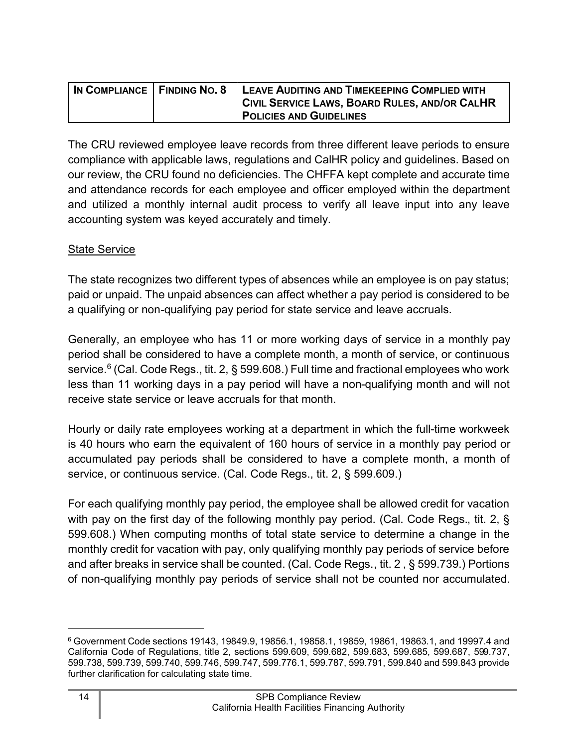| IN COMPLIANCE   FINDING NO. 8 | LEAVE AUDITING AND TIMEKEEPING COMPLIED WITH  |
|-------------------------------|-----------------------------------------------|
|                               | CIVIL SERVICE LAWS, BOARD RULES, AND/OR CALHR |
|                               | <b>POLICIES AND GUIDELINES</b>                |

The CRU reviewed employee leave records from three different leave periods to ensure compliance with applicable laws, regulations and CalHR policy and guidelines. Based on our review, the CRU found no deficiencies. The CHFFA kept complete and accurate time and attendance records for each employee and officer employed within the department and utilized a monthly internal audit process to verify all leave input into any leave accounting system was keyed accurately and timely.

#### State Service

The state recognizes two different types of absences while an employee is on pay status; paid or unpaid. The unpaid absences can affect whether a pay period is considered to be a qualifying or non-qualifying pay period for state service and leave accruals.

Generally, an employee who has 11 or more working days of service in a monthly pay period shall be considered to have a complete month, a month of service, or continuous service. [6](#page-15-0) (Cal. Code Regs., tit. 2, § 599.608.) Full time and fractional employees who work less than 11 working days in a pay period will have a non-qualifying month and will not receive state service or leave accruals for that month.

Hourly or daily rate employees working at a department in which the full-time workweek is 40 hours who earn the equivalent of 160 hours of service in a monthly pay period or accumulated pay periods shall be considered to have a complete month, a month of service, or continuous service. (Cal. Code Regs., tit. 2, § 599.609.)

For each qualifying monthly pay period, the employee shall be allowed credit for vacation with pay on the first day of the following monthly pay period. (Cal. Code Regs., tit. 2, § 599.608.) When computing months of total state service to determine a change in the monthly credit for vacation with pay, only qualifying monthly pay periods of service before and after breaks in service shall be counted. (Cal. Code Regs., tit. 2 , § 599.739.) Portions of non-qualifying monthly pay periods of service shall not be counted nor accumulated.

<span id="page-15-0"></span><sup>6</sup> Government Code sections 19143, 19849.9, 19856.1, 19858.1, 19859, 19861, 19863.1, and 19997.4 and California Code of Regulations, title 2, sections 599.609, 599.682, 599.683, 599.685, 599.687, 599.737, 599.738, 599.739, 599.740, 599.746, 599.747, 599.776.1, 599.787, 599.791, 599.840 and 599.843 provide further clarification for calculating state time.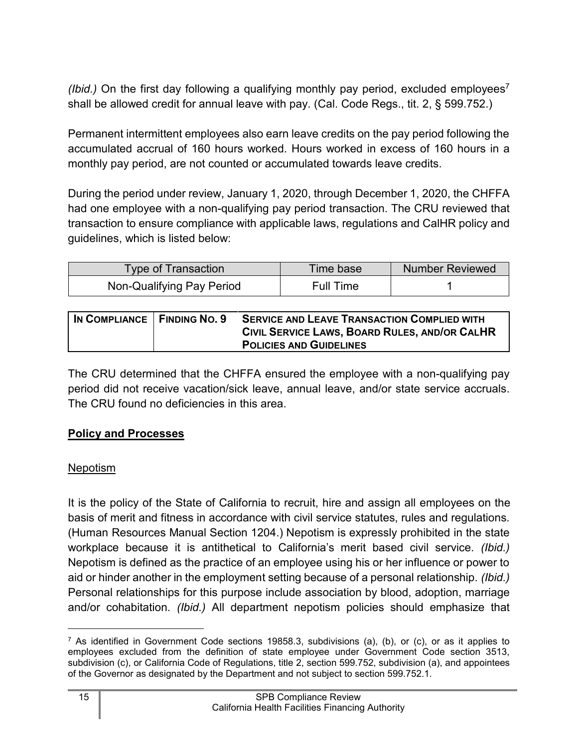*(Ibid.)* On the first day following a qualifying monthly pay period, excluded employees<sup>[7](#page-16-2)</sup> shall be allowed credit for annual leave with pay. (Cal. Code Regs., tit. 2, § 599.752.)

Permanent intermittent employees also earn leave credits on the pay period following the accumulated accrual of 160 hours worked. Hours worked in excess of 160 hours in a monthly pay period, are not counted or accumulated towards leave credits.

During the period under review, January 1, 2020, through December 1, 2020, the CHFFA had one employee with a non-qualifying pay period transaction. The CRU reviewed that transaction to ensure compliance with applicable laws, regulations and CalHR policy and guidelines, which is listed below:

| Type of Transaction       | <b>Time base</b> | <b>Number Reviewed</b> |
|---------------------------|------------------|------------------------|
| Non-Qualifying Pay Period | Full Time        |                        |

| IN COMPLIANCE   FINDING NO. 9 | <b>SERVICE AND LEAVE TRANSACTION COMPLIED WITH</b> |
|-------------------------------|----------------------------------------------------|
|                               | CIVIL SERVICE LAWS, BOARD RULES, AND/OR CALHR      |
|                               | <b>POLICIES AND GUIDELINES</b>                     |

The CRU determined that the CHFFA ensured the employee with a non-qualifying pay period did not receive vacation/sick leave, annual leave, and/or state service accruals. The CRU found no deficiencies in this area.

#### <span id="page-16-0"></span>**Policy and Processes**

#### <span id="page-16-1"></span>Nepotism

It is the policy of the State of California to recruit, hire and assign all employees on the basis of merit and fitness in accordance with civil service statutes, rules and regulations. (Human Resources Manual Section 1204.) Nepotism is expressly prohibited in the state workplace because it is antithetical to California's merit based civil service. *(Ibid.)* Nepotism is defined as the practice of an employee using his or her influence or power to aid or hinder another in the employment setting because of a personal relationship. *(Ibid.)* Personal relationships for this purpose include association by blood, adoption, marriage and/or cohabitation. *(Ibid.)* All department nepotism policies should emphasize that

<span id="page-16-2"></span> $^7$  As identified in Government Code sections 19858.3, subdivisions (a), (b), or (c), or as it applies to employees excluded from the definition of state employee under Government Code section 3513, subdivision (c), or California Code of Regulations, title 2, section 599.752, subdivision (a), and appointees of the Governor as designated by the Department and not subject to section 599.752.1.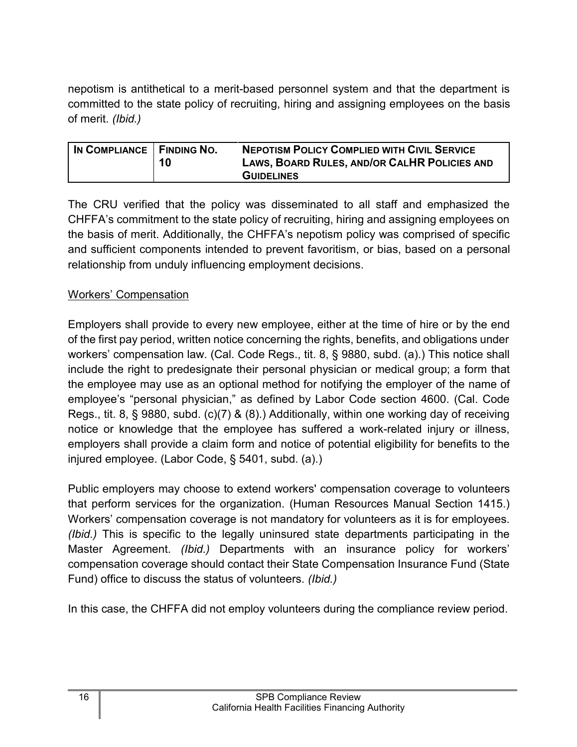nepotism is antithetical to a merit-based personnel system and that the department is committed to the state policy of recruiting, hiring and assigning employees on the basis of merit. *(Ibid.)*

| IN COMPLIANCE   FINDING NO. | 10 | <b>NEPOTISM POLICY COMPLIED WITH CIVIL SERVICE</b><br>LAWS, BOARD RULES, AND/OR CALHR POLICIES AND |
|-----------------------------|----|----------------------------------------------------------------------------------------------------|
|                             |    | <b>GUIDELINES</b>                                                                                  |

The CRU verified that the policy was disseminated to all staff and emphasized the CHFFA's commitment to the state policy of recruiting, hiring and assigning employees on the basis of merit. Additionally, the CHFFA's nepotism policy was comprised of specific and sufficient components intended to prevent favoritism, or bias, based on a personal relationship from unduly influencing employment decisions.

# Workers' Compensation

Employers shall provide to every new employee, either at the time of hire or by the end of the first pay period, written notice concerning the rights, benefits, and obligations under workers' compensation law. (Cal. Code Regs., tit. 8, § 9880, subd. (a).) This notice shall include the right to predesignate their personal physician or medical group; a form that the employee may use as an optional method for notifying the employer of the name of employee's "personal physician," as defined by Labor Code section 4600. (Cal. Code Regs., tit. 8, § 9880, subd. (c)(7) & (8).) Additionally, within one working day of receiving notice or knowledge that the employee has suffered a work-related injury or illness, employers shall provide a claim form and notice of potential eligibility for benefits to the injured employee. (Labor Code, § 5401, subd. (a).)

Public employers may choose to extend workers' compensation coverage to volunteers that perform services for the organization. (Human Resources Manual Section 1415.) Workers' compensation coverage is not mandatory for volunteers as it is for employees. *(Ibid.)* This is specific to the legally uninsured state departments participating in the Master Agreement. *(Ibid.)* Departments with an insurance policy for workers' compensation coverage should contact their State Compensation Insurance Fund (State Fund) office to discuss the status of volunteers. *(Ibid.)*

In this case, the CHFFA did not employ volunteers during the compliance review period.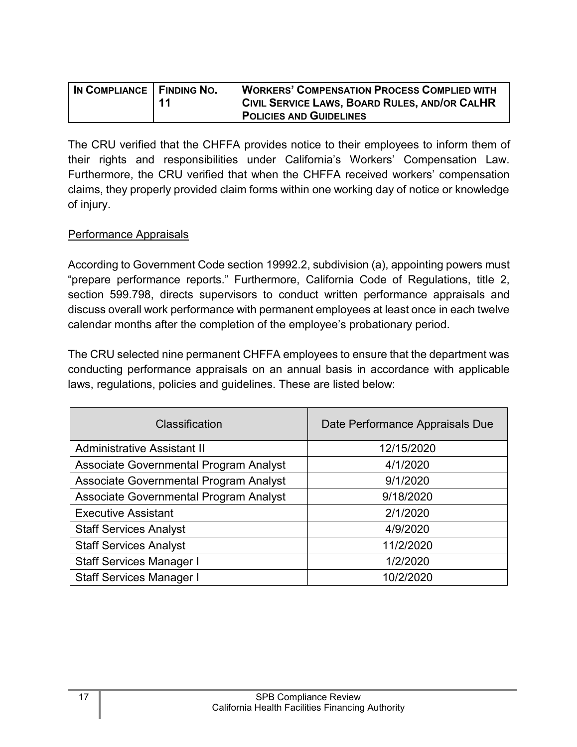| IN COMPLIANCE   FINDING NO. |    | <b>WORKERS' COMPENSATION PROCESS COMPLIED WITH</b> |
|-----------------------------|----|----------------------------------------------------|
|                             | 11 | CIVIL SERVICE LAWS, BOARD RULES, AND/OR CALHR      |
|                             |    | <b>POLICIES AND GUIDELINES</b>                     |

The CRU verified that the CHFFA provides notice to their employees to inform them of their rights and responsibilities under California's Workers' Compensation Law. Furthermore, the CRU verified that when the CHFFA received workers' compensation claims, they properly provided claim forms within one working day of notice or knowledge of injury.

#### Performance Appraisals

According to Government Code section 19992.2, subdivision (a), appointing powers must "prepare performance reports." Furthermore, California Code of Regulations, title 2, section 599.798, directs supervisors to conduct written performance appraisals and discuss overall work performance with permanent employees at least once in each twelve calendar months after the completion of the employee's probationary period.

The CRU selected nine permanent CHFFA employees to ensure that the department was conducting performance appraisals on an annual basis in accordance with applicable laws, regulations, policies and guidelines. These are listed below:

| Classification                         | Date Performance Appraisals Due |
|----------------------------------------|---------------------------------|
| <b>Administrative Assistant II</b>     | 12/15/2020                      |
| Associate Governmental Program Analyst | 4/1/2020                        |
| Associate Governmental Program Analyst | 9/1/2020                        |
| Associate Governmental Program Analyst | 9/18/2020                       |
| <b>Executive Assistant</b>             | 2/1/2020                        |
| <b>Staff Services Analyst</b>          | 4/9/2020                        |
| <b>Staff Services Analyst</b>          | 11/2/2020                       |
| <b>Staff Services Manager I</b>        | 1/2/2020                        |
| <b>Staff Services Manager I</b>        | 10/2/2020                       |